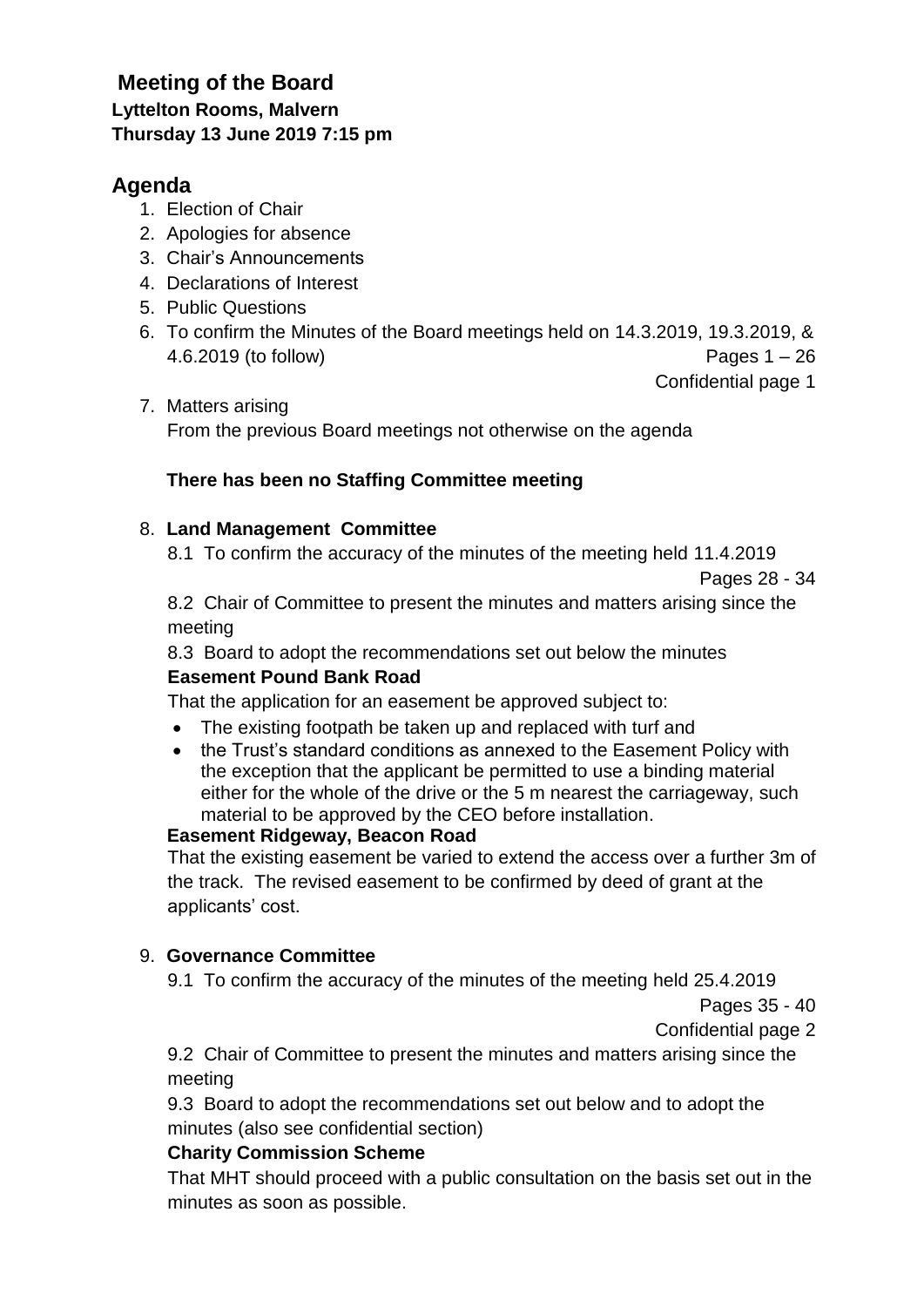# **Meeting of the Board Lyttelton Rooms, Malvern Thursday 13 June 2019 7:15 pm**

# **Agenda**

- 1. Election of Chair
- 2. Apologies for absence
- 3. Chair's Announcements
- 4. Declarations of Interest
- 5. Public Questions
- 6. To confirm the Minutes of the Board meetings held on 14.3.2019, 19.3.2019, & 4.6.2019 (to follow) Pages 1 – 26

Confidential page 1

7. Matters arising From the previous Board meetings not otherwise on the agenda

## **There has been no Staffing Committee meeting**

#### 8. **Land Management Committee**

8.1 To confirm the accuracy of the minutes of the meeting held 11.4.2019

Pages 28 - 34

8.2 Chair of Committee to present the minutes and matters arising since the meeting

8.3 Board to adopt the recommendations set out below the minutes **Easement Pound Bank Road**

That the application for an easement be approved subject to:

- The existing footpath be taken up and replaced with turf and
- the Trust's standard conditions as annexed to the Easement Policy with the exception that the applicant be permitted to use a binding material either for the whole of the drive or the 5 m nearest the carriageway, such material to be approved by the CEO before installation.

#### **Easement Ridgeway, Beacon Road**

That the existing easement be varied to extend the access over a further 3m of the track. The revised easement to be confirmed by deed of grant at the applicants' cost.

#### 9. **Governance Committee**

9.1 To confirm the accuracy of the minutes of the meeting held 25.4.2019

Pages 35 - 40

Confidential page 2

9.2 Chair of Committee to present the minutes and matters arising since the meeting

9.3 Board to adopt the recommendations set out below and to adopt the minutes (also see confidential section)

## **Charity Commission Scheme**

That MHT should proceed with a public consultation on the basis set out in the minutes as soon as possible.